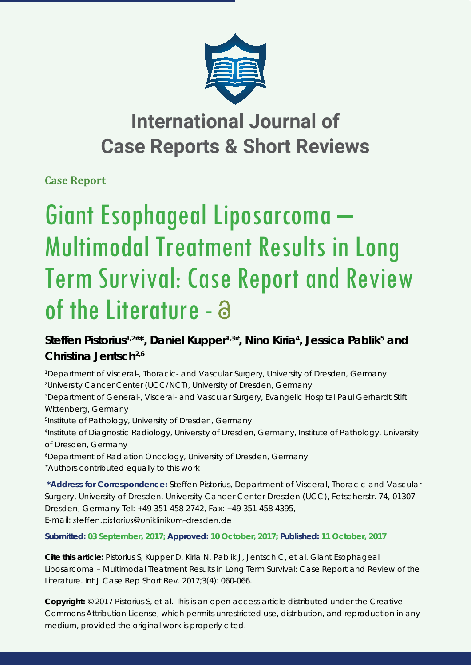

## **International Journal of Case Reports & Short Reviews**

**Case Report**

# Giant Esophageal Liposarcoma – Multimodal Treatment Results in Long Term Survival: Case Report and Review of the Literature - a

### Steffen Pistorius<sup>1,2#\*</sup>, Daniel Kupper<sup>1,3#</sup>, Nino Kiria<sup>4</sup>, Jessica Pablik<sup>5</sup> and **Christina Jentsch2,6**

*1 Department of Visceral-, Thoracic- and Vascular Surgery, University of Dresden, Germany 2 University Cancer Center (UCC/NCT), University of Dresden, Germany 3 Department of General-, Visceral- and Vascular Surgery, Evangelic Hospital Paul Gerhardt Stift Wittenberg, Germany 5 Institute of Pathology, University of Dresden, Germany 4 Institute of Diagnostic Radiology, University of Dresden, Germany, Institute of Pathology, University of Dresden, Germany 6 Department of Radiation Oncology, University of Dresden, Germany #Authors contributed equally to this work* **\*Address for Correspondence:** Steffen Pistorius, Department of Visceral, Thoracic and Vascular

Surgery, University of Dresden, University Cancer Center Dresden (UCC), Fetscherstr. 74, 01307 Dresden, Germany Tel: +49 351 458 2742, Fax: +49 351 458 4395, E-mail: steffen.pistorius@uniklinikum-dresden.de

**Submitted: 03 September, 2017; Approved: 10 October, 2017; Published: 11 October, 2017**

**Cite this article:** Pistorius S, Kupper D, Kiria N, Pablik J, Jentsch C, et al. Giant Esophageal Liposarcoma – Multimodal Treatment Results in Long Term Survival: Case Report and Review of the Literature. Int J Case Rep Short Rev. 2017;3(4): 060-066.

**Copyright:** © 2017 Pistorius S, et al. This is an open access article distributed under the Creative Commons Attribution License, which permits unrestricted use, distribution, and reproduction in any medium, provided the original work is properly cited.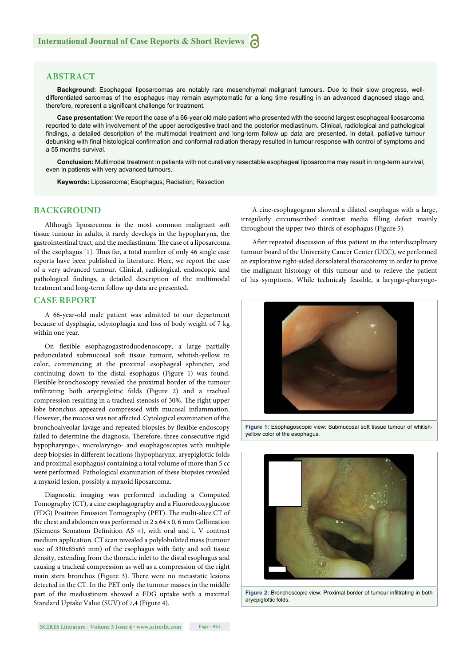#### **ABSTRACT**

**Background:** Esophageal liposarcomas are notably rare mesenchymal malignant tumours. Due to their slow progress, welldifferentiated sarcomas of the esophagus may remain asymptomatic for a long time resulting in an advanced diagnosed stage and, therefore, represent a significant challenge for treatment.

**Case presentation***:* We report the case of a 66-year old male patient who presented with the second largest esophageal liposarcoma reported to date with involvement of the upper aerodigestive tract and the posterior mediastinum. Clinical, radiological and pathological findings, a detailed description of the multimodal treatment and long-term follow up data are presented. In detail, palliative tumour debunking with final histological confirmation and conformal radiation therapy resulted in tumour response with control of symptoms and a 55 months survival.

**Conclusion:** Multimodal treatment in patients with not curatively resectable esophageal liposarcoma may result in long-term survival, even in patients with very advanced tumours.

**Keywords:** Liposarcoma; Esophagus; Radiation; Resection

#### **BACKGROUND**

Although liposarcoma is the most common malignant soft tissue tumour in adults, it rarely develops in the hypopharynx, the gastrointestinal tract, and the mediastinum. The case of a liposarcoma of the esophagus [1]. Thus far, a total number of only 46 single case reports have been published in literature. Here, we report the case of a very advanced tumour. Clinical, radiological, endoscopic and pathological findings, a detailed description of the multimodal treatment and long-term follow up data are presented.

#### **CASE REPORT**

A 66-year-old male patient was admitted to our department because of dysphagia, odynophagia and loss of body weight of 7 kg within one year.

On flexible esophagogastroduodenoscopy, a large partially pedunculated submucosal soft tissue tumour, whitish-yellow in color, commencing at the proximal esophageal sphincter, and continuing down to the distal esophagus (Figure 1) was found. Flexible bronchoscopy revealed the proximal border of the tumour infiltrating both aryepiglottic folds (Figure 2) and a tracheal compression resulting in a tracheal stenosis of 30%. The right upper lobe bronchus appeared compressed with mucosal inflammation. However, the mucosa was not affected. Cytological examination of the bronchoalveolar lavage and repeated biopsies by flexible endoscopy failed to determine the diagnosis. Therefore, three consecutive rigid hypopharyngo-, microlaryngo- and esophagoscopies with multiple deep biopsies in different locations (hypopharynx, aryepiglottic folds and proximal esophagus) containing a total volume of more than 5 cc were performed. Pathological examination of these biopsies revealed a myxoid lesion, possibly a myxoid liposarcoma.

Diagnostic imaging was performed including a Computed Tomography (CT), a cine esophagography and a Fluorodeoxyglucose (FDG) Positron Emission Tomography (PET). The multi-slice CT of the chest and abdomen was performed in 2 x 64 x 0, 6 mm Collimation (Siemens Somatom Definition AS +), with oral and i. V contrast medium application. CT scan revealed a polylobulated mass (tumour size of 330x85x65 mm) of the esophagus with fatty and soft tissue density, extending from the thoracic inlet to the distal esophagus and causing a tracheal compression as well as a compression of the right main stem bronchus (Figure 3). There were no metastatic lesions detected in the CT. In the PET only the tumour masses in the middle part of the mediastinum showed a FDG uptake with a maximal Standard Uptake Value (SUV) of 7,4 (Figure 4).

A cine-esophagogram showed a dilated esophagus with a large, irregularly circumscribed contrast media filling defect mainly throughout the upper two-thirds of esophagus (Figure 5).

After repeated discussion of this patient in the interdisciplinary tumour board of the University Cancer Center (UCC), we performed an explorative right-sided dorsolateral thoracotomy in order to prove the malignant histology of this tumour and to relieve the patient of his symptoms. While technicaly feasible, a laryngo-pharyngo-



**Figure 1:** Esophagoscopic view: Submucosal soft tissue tumour of whitishyellow color of the esophagus.



**Figure 2:** Bronchoscopic view: Proximal border of tumour infiltrating in both aryepiglottic folds.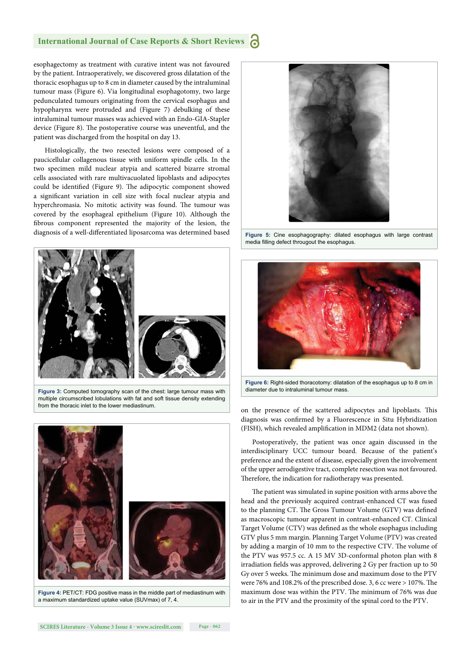#### **International Journal of Case Reports & Short Reviews**

esophagectomy as treatment with curative intent was not favoured by the patient. Intraoperatively, we discovered gross dilatation of the thoracic esophagus up to 8 cm in diameter caused by the intraluminal tumour mass (Figure 6). Via longitudinal esophagotomy, two large pedunculated tumours originating from the cervical esophagus and hypopharynx were protruded and (Figure 7) debulking of these intraluminal tumour masses was achieved with an Endo-GIA-Stapler device (Figure 8). The postoperative course was uneventful, and the patient was discharged from the hospital on day 13.

Histologically, the two resected lesions were composed of a paucicellular collagenous tissue with uniform spindle cells. In the two specimen mild nuclear atypia and scattered bizarre stromal cells associated with rare multivacuolated lipoblasts and adipocytes could be identified (Figure 9). The adipocytic component showed a significant variation in cell size with focal nuclear atypia and hyperchromasia. No mitotic activity was found. The tumour was covered by the esophageal epithelium (Figure 10). Although the fibrous component represented the majority of the lesion, the diagnosis of a well-differentiated liposarcoma was determined based



**Figure 3:** Computed tomography scan of the chest: large tumour mass with multiple circumscribed lobulations with fat and soft tissue density extending from the thoracic inlet to the lower mediastinum.



**Figure 4:** PET/CT: FDG positive mass in the middle part of mediastinum with a maximum standardized uptake value (SUVmax) of 7, 4.



**Figure 5:** Cine esophagography: dilated esophagus with large contrast media filling defect througout the esophagus.



**Figure 6:** Right-sided thoracotomy: dilatation of the esophagus up to 8 cm in diameter due to intraluminal tumour mass.

on the presence of the scattered adipocytes and lipoblasts. This diagnosis was confirmed by a Fluorescence in Situ Hybridization (FISH), which revealed amplification in MDM2 (data not shown).

Postoperatively, the patient was once again discussed in the interdisciplinary UCC tumour board. Because of the patient's preference and the extent of disease, especially given the involvement of the upper aerodigestive tract, complete resection was not favoured. Therefore, the indication for radiotherapy was presented.

The patient was simulated in supine position with arms above the head and the previously acquired contrast-enhanced CT was fused to the planning CT. The Gross Tumour Volume (GTV) was defined as macroscopic tumour apparent in contrast-enhanced CT. Clinical Target Volume (CTV) was defined as the whole esophagus including GTV plus 5 mm margin. Planning Target Volume (PTV) was created by adding a margin of 10 mm to the respective CTV. The volume of the PTV was 957.5 cc. A 15 MV 3D-conformal photon plan with 8 irradiation fields was approved, delivering 2 Gy per fraction up to 50 Gy over 5 weeks. The minimum dose and maximum dose to the PTV were 76% and 108.2% of the prescribed dose. 3, 6 cc were  $> 107$ %. The maximum dose was within the PTV. The minimum of 76% was due to air in the PTV and the proximity of the spinal cord to the PTV.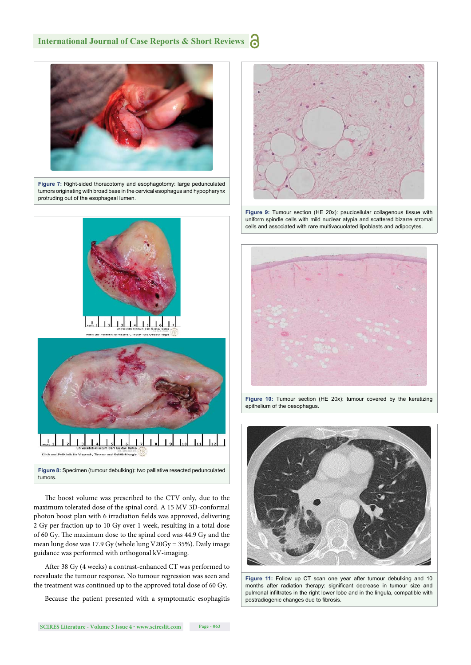#### **International Journal of Case Reports & Short Reviews**



**Figure 7:** Right-sided thoracotomy and esophagotomy: large pedunculated tumors originating with broad base in the cervical esophagus and hypopharynx protruding out of the esophageal lumen.



The boost volume was prescribed to the CTV only, due to the maximum tolerated dose of the spinal cord. A 15 MV 3D-conformal photon boost plan with 6 irradiation fields was approved, delivering 2 Gy per fraction up to 10 Gy over 1 week, resulting in a total dose of 60 Gy. The maximum dose to the spinal cord was 44.9 Gy and the mean lung dose was 17.9 Gy (whole lung V20Gy = 35%). Daily image guidance was performed with orthogonal kV-imaging.

After 38 Gy (4 weeks) a contrast-enhanced CT was performed to reevaluate the tumour response. No tumour regression was seen and the treatment was continued up to the approved total dose of 60 Gy.

Because the patient presented with a symptomatic esophagitis

**Figure 9:** Tumour section (HE 20x): paucicellular collagenous tissue with uniform spindle cells with mild nuclear atypia and scattered bizarre stromal cells and associated with rare multivacuolated lipoblasts and adipocytes.



**Figure 10:** Tumour section (HE 20x): tumour covered by the keratizing epithelium of the oesophagus.



**Figure 11:** Follow up CT scan one year after tumour debulking and 10 months after radiation therapy: significant decrease in tumour size and pulmonal infiltrates in the right lower lobe and in the lingula, compatible with postradiogenic changes due to fibrosis.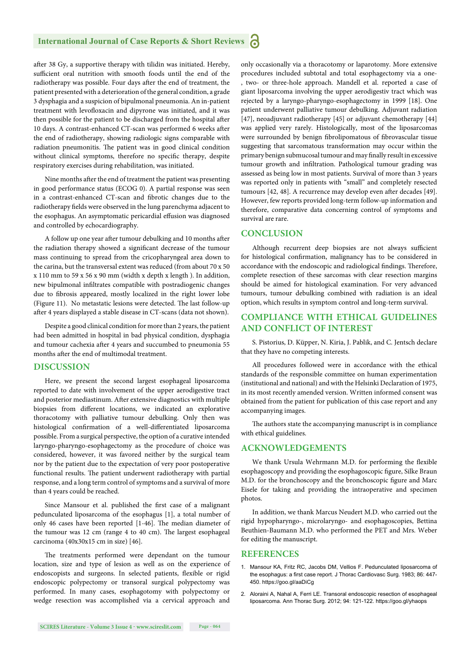after 38 Gy, a supportive therapy with tilidin was initiated. Hereby, sufficient oral nutrition with smooth foods until the end of the radiotherapy was possible. Four days after the end of treatment, the patient presented with a deterioration of the general condition, a grade 3 dysphagia and a suspicion of bipulmonal pneumonia. An in-patient treatment with levofloxacin and dipyrone was initiated, and it was then possible for the patient to be discharged from the hospital after 10 days. A contrast-enhanced CT-scan was performed 6 weeks after the end of radiotherapy, showing radiologic signs comparable with radiation pneumonitis. The patient was in good clinical condition without clinical symptoms, therefore no specific therapy, despite respiratory exercises during rehabilitation, was initiated.

Nine months after the end of treatment the patient was presenting in good performance status (ECOG 0). A partial response was seen in a contrast-enhanced CT-scan and fibrotic changes due to the radiotherapy fields were observed in the lung parenchyma adjacent to the esophagus. An asymptomatic pericardial effusion was diagnosed and controlled by echocardiography.

A follow up one year after tumour debulking and 10 months after the radiation therapy showed a significant decrease of the tumour mass continuing to spread from the cricopharyngeal area down to the carina, but the transversal extent was reduced (from about 70 x 50 x 110 mm to 59 x 56 x 90 mm (width x depth x length ). In addition, new bipulmonal infiltrates compatible with postradiogenic changes due to fibrosis appeared, mostly localized in the right lower lobe (Figure 11). No metastatic lesions were detected. The last follow-up after 4 years displayed a stable disease in CT-scans (data not shown).

Despite a good clinical condition for more than 2 years, the patient had been admitted in hospital in bad physical condition, dysphagia and tumour cachexia after 4 years and succumbed to pneumonia 55 months after the end of multimodal treatment.

#### **DISCUSSION**

Here, we present the second largest esophageal liposarcoma reported to date with involvement of the upper aerodigestive tract and posterior mediastinum. After extensive diagnostics with multiple biopsies from different locations, we indicated an explorative thoracotomy with palliative tumour debulking. Only then was histological confirmation of a well-differentiated liposarcoma possible. From a surgical perspective, the option of a curative intended laryngo-pharyngo-esophagectomy as the procedure of choice was considered, however, it was favored neither by the surgical team nor by the patient due to the expectation of very poor postoperative functional results. The patient underwent radiotherapy with partial response, and a long term control of symptoms and a survival of more than 4 years could be reached.

Since Mansour et al. published the first case of a malignant pedunculated liposarcoma of the esophagus [1], a total number of only 46 cases have been reported [1-46]. The median diameter of the tumour was 12 cm (range 4 to 40 cm). The largest esophageal carcinoma (40x30x15 cm in size) [46].

The treatments performed were dependant on the tumour location, size and type of lesion as well as on the experience of endoscopists and surgeons. In selected patients, flexible or rigid endoscopic polypectomy or transoral surgical polypectomy was performed. In many cases, esophagotomy with polypectomy or wedge resection was accomplished via a cervical approach and only occasionally via a thoracotomy or laparotomy. More extensive procedures included subtotal and total esophagectomy via a one- , two- or three-hole approach. Mandell et al. reported a case of giant liposarcoma involving the upper aerodigestiv tract which was rejected by a laryngo-pharyngo-esophagectomy in 1999 [18]. One patient underwent palliative tumour debulking. Adjuvant radiation [47], neoadjuvant radiotherapy [45] or adjuvant chemotherapy [44] was applied very rarely. Histologically, most of the liposarcomas were surrounded by benign fibrolipomatous of fibrovascular tissue suggesting that sarcomatous transformation may occur within the primary benign submucosal tumour and may finally result in excessive tumour growth and infiltration. Pathological tumour grading was assessed as being low in most patients. Survival of more than 3 years was reported only in patients with "small" and completely resected tumours [42, 48]. A recurrence may develop even after decades [49]. However, few reports provided long-term follow-up information and therefore, comparative data concerning control of symptoms and survival are rare.

#### **CONCLUSION**

Although recurrent deep biopsies are not always sufficient for histological confirmation, malignancy has to be considered in accordance with the endoscopic and radiological findings. Therefore, complete resection of these sarcomas with clear resection margins should be aimed for histological examination. For very advanced tumours, tumour debulking combined with radiation is an ideal option, which results in symptom control and long-term survival.

#### **COMPLIANCE WITH ETHICAL GUIDELINES AND CONFLICT OF INTEREST**

S. Pistorius, D. Küpper, N. Kiria, J. Pablik, and C. Jentsch declare that they have no competing interests.

All procedures followed were in accordance with the ethical standards of the responsible committee on human experimentation (institutional and national) and with the Helsinki Declaration of 1975, in its most recently amended version. Written informed consent was obtained from the patient for publication of this case report and any accompanying images.

The authors state the accompanying manuscript is in compliance with ethical guidelines.

#### **ACKNOWLEDGEMENTS**

We thank Ursula Wehrmann M.D. for performing the flexible esophagoscopy and providing the esophagoscopic figure, Silke Braun M.D. for the bronchoscopy and the bronchoscopic figure and Marc Eisele for taking and providing the intraoperative and specimen photos.

In addition, we thank Marcus Neudert M.D. who carried out the rigid hypopharyngo-, microlaryngo- and esophagoscopies, Bettina Beuthien-Baumann M.D. who performed the PET and Mrs. Weber for editing the manuscript.

#### **REFERENCES**

- 1. Mansour KA, Fritz RC, Jacobs DM, Vellios F. Pedunculated liposarcoma of the esophagus: a first case report. J Thorac Cardiovasc Surg. 1983; 86: 447-450. https://goo.gl/aaDiCg
- 2. Aloraini A, Nahal A, Ferri LE. Transoral endoscopic resection of esophageal liposarcoma. Ann Thorac Surg. 2012; 94: 121-122. https://goo.gl/yhaops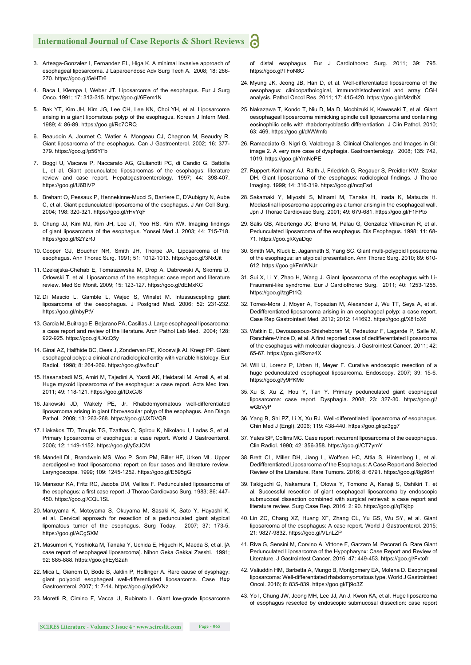#### **International Journal of Case Reports & Short Reviews** Ы

- 3. Arteaga-Gonzalez I, Fernandez EL, Higa K. A minimal invasive approach of esophageal liposarcoma. J Laparoendosc Adv Surg Tech A. 2008; 18: 266- 270. https://goo.gl/5eHTr6
- 4. Baca I, Klempa I, Weber JT. Liposarcoma of the esophagus. Eur J Surg Onco. 1991; 17: 313-315. https://goo.gl/6Eem1N
- 5. Bak YT, Kim JH, Kim JG, Lee CH, Lee KN, Choi YH, et al. Liposarcoma arising in a giant lipomatous polyp of the esophagus. Korean J Intern Med. 1989; 4: 86-89. https://goo.gl/Rc7CRQ
- 6. Beaudoin A, Journet C, Watier A, Mongeau CJ, Chagnon M, Beaudry R. Giant liposarcoma of the esophagus. Can J Gastroenterol. 2002; 16: 377- 379. https://goo.gl/p56YFb
- 7. Boggi U, Viacava P, Naccarato AG, Giulianotti PC, di Candio G, Battolla L, et al. Giant pedunculated liposarcomas of the esophagus: literature review and case report. Hepatogastroenterology. 1997; 44: 398-407. https://goo.gl/U6BiVP
- 8. Brehant O, Pessaux P, Hennekinne-Mucci S, Barriere E, D'Aubigny N, Aube C, et al. Giant pedunculated liposarcoma of the esophagus. J Am Coll Surg. 2004; 198: 320-321. https://goo.gl/rHvYqF
- 9. Chung JJ, Kim MJ, Kim JH, Lee JT, Yoo HS, Kim KW. Imaging findings of giant liposarcoma of the esophagus. Yonsei Med J. 2003; 44: 715-718. https://goo.gl/62YzRJ
- 10. Cooper GJ, Boucher NR, Smith JH, Thorpe JA. Liposarcoma of the esophagus. Ann Thorac Surg. 1991; 51: 1012-1013. https://goo.gl/3NxUit
- 11. Czekajska-Chehab E, Tomaszewska M, Drop A, Dabrowski A, Skomra D, Orłowski T, et al. Liposarcoma of the esophagus: case report and literature review. Med Sci Monit. 2009; 15: 123-127. https://goo.gl/dEMxKC
- 12. Di Mascio L, Gamble L, Wajed S, Winslet M. Intussuscepting giant liposarcoma of the oesophagus. J Postgrad Med. 2006; 52: 231-232. https://goo.gl/nbyPtV
- 13. Garcia M, Buitrago E, Bejarano PA, Casillas J. Large esophageal liposarcoma: a case report and review of the literature. Arch Pathol Lab Med. 2004; 128: 922-925. https://goo.gl/LXcQ5y
- 14. Ginai AZ, Halfhide BC, Dees J, Zondervan PE, Klooswijk AI, Knegt PP. Giant esophageal polyp: a clinical and radiological entity with variable histology. Eur Radiol. 1998; 8: 264-269. https://goo.gl/sv8quF
- 15. Hasanabadi MS, Amiri M, Tajedini A, Yazdi AK, Heidarali M, Amali A, et al. Huge myxoid liposarcoma of the esophagus: a case report. Acta Med Iran. 2011; 49: 118-121. https://goo.gl/tDxCJ8
- 16. Jakowski JD, Wakely PE, Jr. Rhabdomyomatous well-differentiated liposarcoma arising in giant fibrovascular polyp of the esophagus. Ann Diagn Pathol. 2009; 13: 263-268. https://goo.gl/JXDVQB
- 17. Liakakos TD, Troupis TG, Tzathas C, Spirou K, Nikolaou I, Ladas S, et al. Primary liposarcoma of esophagus: a case report. World J Gastroenterol. 2006; 12: 1149-1152. https://goo.gl/y5zJCM
- 18. Mandell DL, Brandwein MS, Woo P, Som PM, Biller HF, Urken ML. Upper aerodigestive tract liposarcoma: report on four cases and literature review. Laryngoscope. 1999; 109: 1245-1252. https://goo.gl/E595gG
- 19. Mansour KA, Fritz RC, Jacobs DM, Vellios F. Pedunculated liposarcoma of the esophagus: a first case report. J Thorac Cardiovasc Surg. 1983; 86: 447-450. https://goo.gl/CQL1SL
- 20. Maruyama K, Motoyama S, Okuyama M, Sasaki K, Sato Y, Hayashi K, et al. Cervical approach for resection of a pedunculated giant atypical lipomatous tumor of the esophagus. Surg Today. 2007; 37: 173-5. https://goo.gl/ACgSXM
- 21. Masumori K, Yoshioka M, Tanaka Y, Uchida E, Higuchi K, Maeda S, et al. [A case report of esophageal liposarcoma]. Nihon Geka Gakkai Zasshi. 1991; 92: 885-888. https://goo.gl/EyS2ah
- 22. Mica L, Gianom D, Bode B, Jaklin P, Hollinger A. Rare cause of dysphagy: giant polypoid esophageal well-differentiated liposarcoma. Case Rep Gastroenterol. 2007; 1: 7-14. https://goo.gl/qdKVNz
- 23. Moretti R, Cimino F, Vacca U, Rubinato L. Giant low-grade liposarcoma

of distal esophagus. Eur J Cardiothorac Surg. 2011; 39: 795. https://goo.gl/TFoN8C

- 24. Myung JK, Jeong JB, Han D, et al. Well-differentiated liposarcoma of the oesophagus: clinicopathological, immunohistochemical and array CGH analysis. Pathol Oncol Res. 2011; 17: 415-420. https://goo.gl/nMzdbX
- 25. Nakazawa T, Kondo T, Niu D, Ma D, Mochizuki K, Kawasaki T, et al. Giant oesophageal liposarcoma mimicking spindle cell liposarcoma and containing eosinophilic cells with rhabdomyoblastic differentiation. J Clin Pathol. 2010; 63: 469. https://goo.gl/dWWmfo
- 26. Ramacciato G, Nigri G, Valabrega S. Clinical Challenges and Images in GI: image 2. A very rare case of dysphagia. Gastroenterology. 2008; 135: 742, 1019. https://goo.gl/YmNePE
- 27. Ruppert-Kohlmayr AJ, Raith J, Friedrich G, Regauer S, Preidler KW, Szolar DH. Giant liposarcoma of the esophagus: radiological findings. J Thorac Imaging. 1999; 14: 316-319. https://goo.gl/ncqFsd
- 28. Sakamaki Y, Miyoshi S, Minami M, Tanaka H, Inada K, Matsuda H. Mediastinal liposarcoma appearing as a tumor arising in the esophageal wall. Jpn J Thorac Cardiovasc Surg. 2001; 49: 679-681. https://goo.gl/F1FPto
- 29. Salis GB, Albertengo JC, Bruno M, Palau G, Gonzalez Villaveiran R, et al. Pedunculated liposarcoma of the esophagus. Dis Esophagus. 1998; 11: 68- 71. https://goo.gl/XyaDqc
- 30. Smith MA, Kluck E, Jagannath S, Yang SC. Giant multi-polypoid liposarcoma of the esophagus: an atypical presentation. Ann Thorac Surg. 2010; 89: 610- 612. https://goo.gl/FmWNJr
- 31. Sui X, Li Y, Zhao H, Wang J. Giant liposarcoma of the esophagus with Li-Fraumeni-like syndrome. Eur J Cardiothorac Surg. 2011; 40: 1253-1255. https://goo.gl/zgPt1Q
- 32. Torres-Mora J, Moyer A, Topazian M, Alexander J, Wu TT, Seys A, et al. Dedifferentiated liposarcoma arising in an esophageal polyp: a case report. Case Rep Gastrointest Med. 2012; 2012: 141693. https://goo.gl/X81oX6
- 33. Watkin E, Devouassoux-Shisheboran M, Pedeutour F, Lagarde P, Salle M, Ranchère-Vince D, et al. A first reported case of dedifferentiated liposarcoma of the esophagus with molecular diagnosis. J Gastrointest Cancer. 2011; 42: 65-67. https://goo.gl/Rkmz4X
- 34. Will U, Lorenz P, Urban H, Meyer F. Curative endoscopic resection of a huge pedunculated esophageal liposarcoma. Endoscopy. 2007; 39: 15-6. https://goo.gl/y9PKMc
- 35. Xu S, Xu Z, Hou Y, Tan Y. Primary pedunculated giant esophageal liposarcoma: case report. Dysphagia. 2008; 23: 327-30. https://goo.gl/ wGbVyP
- 36. Yang B, Shi PZ, Li X, Xu RJ. Well-differentiated liposarcoma of esophagus. Chin Med J (Engl). 2006; 119: 438-440. https://goo.gl/qz3gg7
- 37. Yates SP, Collins MC. Case report: recurrent liposarcoma of the oesophagus. Clin Radiol. 1990; 42: 356-358. https://goo.gl/CT7ymY
- 38. Brett CL, Miller DH, Jiang L, Wolfsen HC, Attia S, Hintenlang L, et al. Dedifferentiated Liposarcoma of the Esophagus: A Case Report and Selected Review of the Literature. Rare Tumors. 2016; 8: 6791. https://goo.gl/8g96nf
- 39. Takiguchi G, Nakamura T, Otowa Y, Tomono A, Kanaji S, Oshikiri T, et al. Successful resection of giant esophageal liposarcoma by endoscopic submucosal dissection combined with surgical retrieval: a case report and literature review. Surg Case Rep. 2016; 2: 90. https://goo.gl/qTkjbp
- 40. Lin ZC, Chang XZ, Huang XF, Zhang CL, Yu GS, Wu SY, et al. Giant liposarcoma of the esophagus: A case report. World J Gastroenterol. 2015; 21: 9827-9832. https://goo.gl/VLnLZP
- 41. Riva G, Sensini M, Corvino A, Vittone F, Garzaro M, Pecorari G. Rare Giant Pedunculated Liposarcoma of the Hypopharynx: Case Report and Review of Literature. J Gastrointest Cancer. 2016; 47: 449-453. https://goo.gl/Fvtofr
- 42. Valiuddin HM, Barbetta A, Mungo B, Montgomery EA, Molena D. Esophageal liposarcoma: Well-differentiated rhabdomyomatous type. World J Gastrointest Oncol. 2016; 8: 835-839. https://goo.gl/Fj9o3Z
- 43. Yo I, Chung JW, Jeong MH, Lee JJ, An J, Kwon KA, et al. Huge liposarcoma of esophagus resected by endoscopic submucosal dissection: case report